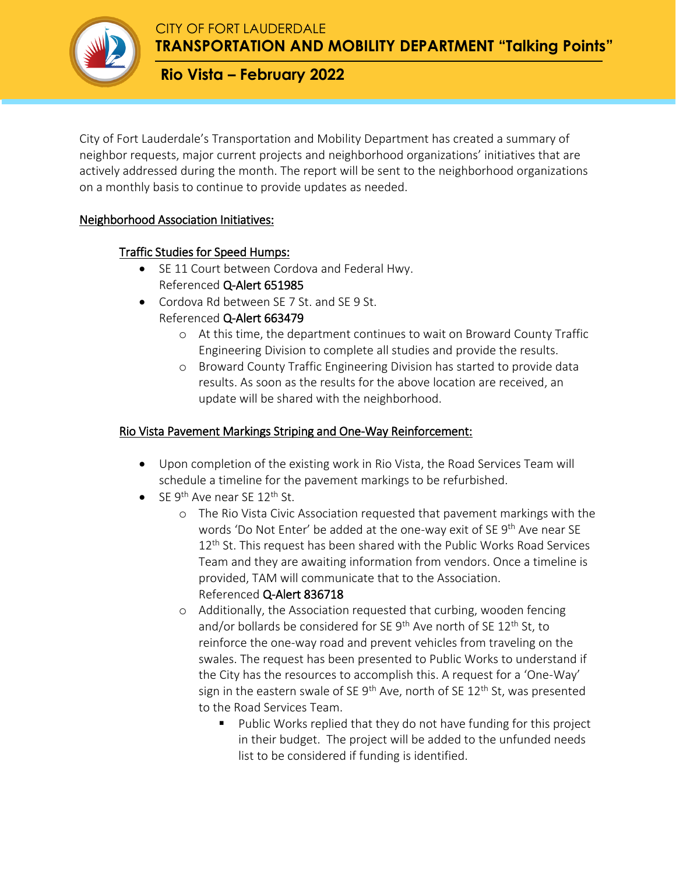

**TRANSPORTATION AND MOBILITY DEPARTMENT "Talking Points"**

# **Rio Vista – February 2022**

City of Fort Lauderdale's Transportation and Mobility Department has created a summary of neighbor requests, major current projects and neighborhood organizations' initiatives that are actively addressed during the month. The report will be sent to the neighborhood organizations on a monthly basis to continue to provide updates as needed.

### Neighborhood Association Initiatives:

## Traffic Studies for Speed Humps:

- SE 11 Court between Cordova and Federal Hwy. Referenced Q-Alert 651985
- Cordova Rd between SE 7 St. and SE 9 St. Referenced Q-Alert 663479
	- o At this time, the department continues to wait on Broward County Traffic Engineering Division to complete all studies and provide the results.
	- o Broward County Traffic Engineering Division has started to provide data results. As soon as the results for the above location are received, an update will be shared with the neighborhood.

### Rio Vista Pavement Markings Striping and One-Way Reinforcement:

- Upon completion of the existing work in Rio Vista, the Road Services Team will schedule a timeline for the pavement markings to be refurbished.
- $\bullet$  SE 9<sup>th</sup> Ave near SE 12<sup>th</sup> St.
	- o The Rio Vista Civic Association requested that pavement markings with the words 'Do Not Enter' be added at the one-way exit of SE 9<sup>th</sup> Ave near SE 12<sup>th</sup> St. This request has been shared with the Public Works Road Services Team and they are awaiting information from vendors. Once a timeline is provided, TAM will communicate that to the Association. Referenced Q-Alert 836718
	- o Additionally, the Association requested that curbing, wooden fencing and/or bollards be considered for SE 9<sup>th</sup> Ave north of SE 12<sup>th</sup> St, to reinforce the one-way road and prevent vehicles from traveling on the swales. The request has been presented to Public Works to understand if the City has the resources to accomplish this. A request for a 'One-Way' sign in the eastern swale of SE  $9<sup>th</sup>$  Ave, north of SE  $12<sup>th</sup>$  St, was presented to the Road Services Team.
		- **Public Works replied that they do not have funding for this project** in their budget. The project will be added to the unfunded needs list to be considered if funding is identified.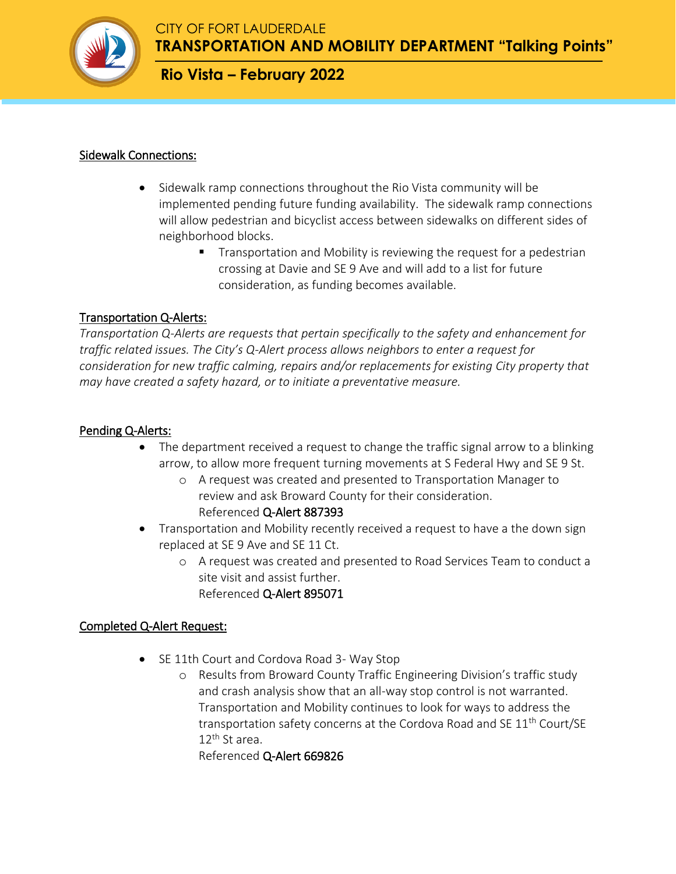

**TRANSPORTATION AND MOBILITY DEPARTMENT "Talking Points"**

## **Rio Vista – February 2022**

#### Sidewalk Connections:

- Sidewalk ramp connections throughout the Rio Vista community will be implemented pending future funding availability. The sidewalk ramp connections will allow pedestrian and bicyclist access between sidewalks on different sides of neighborhood blocks.
	- **Transportation and Mobility is reviewing the request for a pedestrian** crossing at Davie and SE 9 Ave and will add to a list for future consideration, as funding becomes available.

#### Transportation Q-Alerts:

*Transportation Q-Alerts are requests that pertain specifically to the safety and enhancement for traffic related issues. The City's Q-Alert process allows neighbors to enter a request for consideration for new traffic calming, repairs and/or replacements for existing City property that may have created a safety hazard, or to initiate a preventative measure.*

#### Pending Q-Alerts:

- The department received a request to change the traffic signal arrow to a blinking arrow, to allow more frequent turning movements at S Federal Hwy and SE 9 St.
	- o A request was created and presented to Transportation Manager to review and ask Broward County for their consideration. Referenced Q-Alert 887393
- Transportation and Mobility recently received a request to have a the down sign replaced at SE 9 Ave and SE 11 Ct.
	- o A request was created and presented to Road Services Team to conduct a site visit and assist further. Referenced Q-Alert 895071

### Completed Q-Alert Request:

- SE 11th Court and Cordova Road 3- Way Stop
	- o Results from Broward County Traffic Engineering Division's traffic study and crash analysis show that an all-way stop control is not warranted. Transportation and Mobility continues to look for ways to address the transportation safety concerns at the Cordova Road and SE 11<sup>th</sup> Court/SE  $12^{\text{th}}$  St area.

Referenced Q-Alert 669826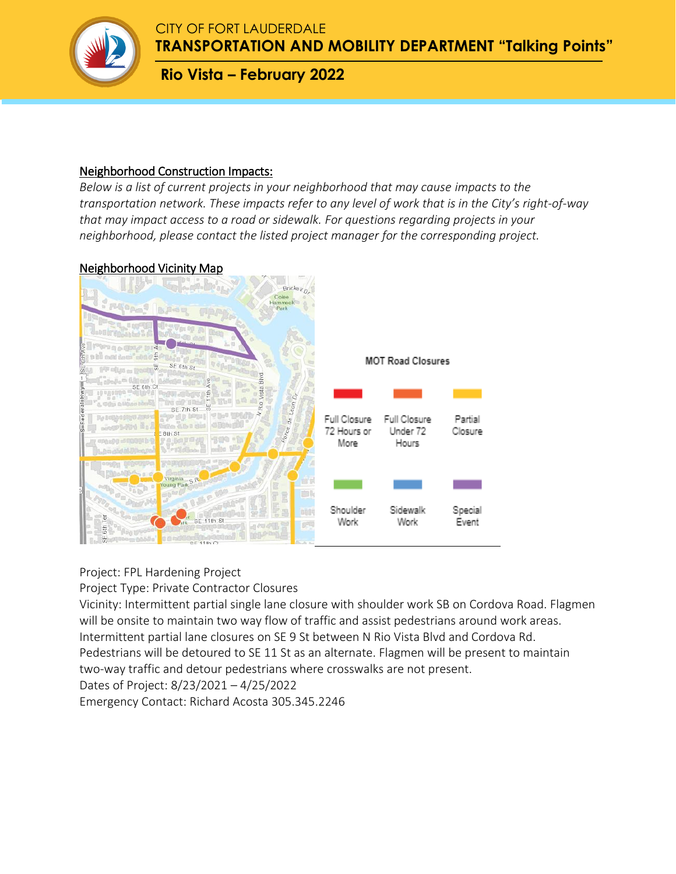

**TRANSPORTATION AND MOBILITY DEPARTMENT "Talking Points"**

# **Rio Vista – February 2022**

#### Neighborhood Construction Impacts:

*Below is a list of current projects in your neighborhood that may cause impacts to the transportation network. These impacts refer to any level of work that is in the City's right-of-way that may impact access to a road or sidewalk. For questions regarding projects in your neighborhood, please contact the listed project manager for the corresponding project.* 

#### Neighborhood Vicinity Map



#### Project: FPL Hardening Project

Project Type: Private Contractor Closures

Vicinity: Intermittent partial single lane closure with shoulder work SB on Cordova Road. Flagmen will be onsite to maintain two way flow of traffic and assist pedestrians around work areas. Intermittent partial lane closures on SE 9 St between N Rio Vista Blvd and Cordova Rd. Pedestrians will be detoured to SE 11 St as an alternate. Flagmen will be present to maintain two-way traffic and detour pedestrians where crosswalks are not present. Dates of Project: 8/23/2021 – 4/25/2022

Emergency Contact: Richard Acosta 305.345.2246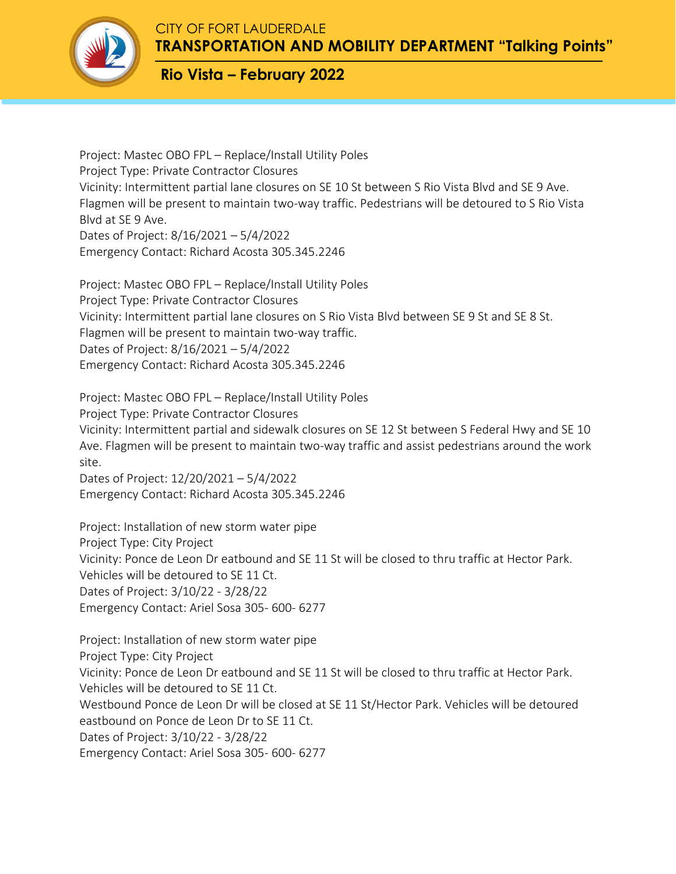

**TRANSPORTATION AND MOBILITY DEPARTMENT "Talking Points"**

# **Rio Vista – February 2022**

Project: Mastec OBO FPL – Replace/Install Utility Poles Project Type: Private Contractor Closures Vicinity: Intermittent partial lane closures on SE 10 St between S Rio Vista Blvd and SE 9 Ave. Flagmen will be present to maintain two-way traffic. Pedestrians will be detoured to S Rio Vista Blvd at SE 9 Ave. Dates of Project: 8/16/2021 – 5/4/2022 Emergency Contact: Richard Acosta 305.345.2246

Project: Mastec OBO FPL – Replace/Install Utility Poles Project Type: Private Contractor Closures Vicinity: Intermittent partial lane closures on S Rio Vista Blvd between SE 9 St and SE 8 St. Flagmen will be present to maintain two-way traffic. Dates of Project: 8/16/2021 – 5/4/2022 Emergency Contact: Richard Acosta 305.345.2246

Project: Mastec OBO FPL – Replace/Install Utility Poles Project Type: Private Contractor Closures Vicinity: Intermittent partial and sidewalk closures on SE 12 St between S Federal Hwy and SE 10 Ave. Flagmen will be present to maintain two-way traffic and assist pedestrians around the work site.

Dates of Project: 12/20/2021 – 5/4/2022 Emergency Contact: Richard Acosta 305.345.2246

Project: Installation of new storm water pipe Project Type: City Project Vicinity: Ponce de Leon Dr eatbound and SE 11 St will be closed to thru traffic at Hector Park. Vehicles will be detoured to SE 11 Ct. Dates of Project: 3/10/22 - 3/28/22 Emergency Contact: Ariel Sosa 305- 600- 6277

Project: Installation of new storm water pipe Project Type: City Project Vicinity: Ponce de Leon Dr eatbound and SE 11 St will be closed to thru traffic at Hector Park. Vehicles will be detoured to SE 11 Ct. Westbound Ponce de Leon Dr will be closed at SE 11 St/Hector Park. Vehicles will be detoured eastbound on Ponce de Leon Dr to SE 11 Ct. Dates of Project: 3/10/22 - 3/28/22 Emergency Contact: Ariel Sosa 305- 600- 6277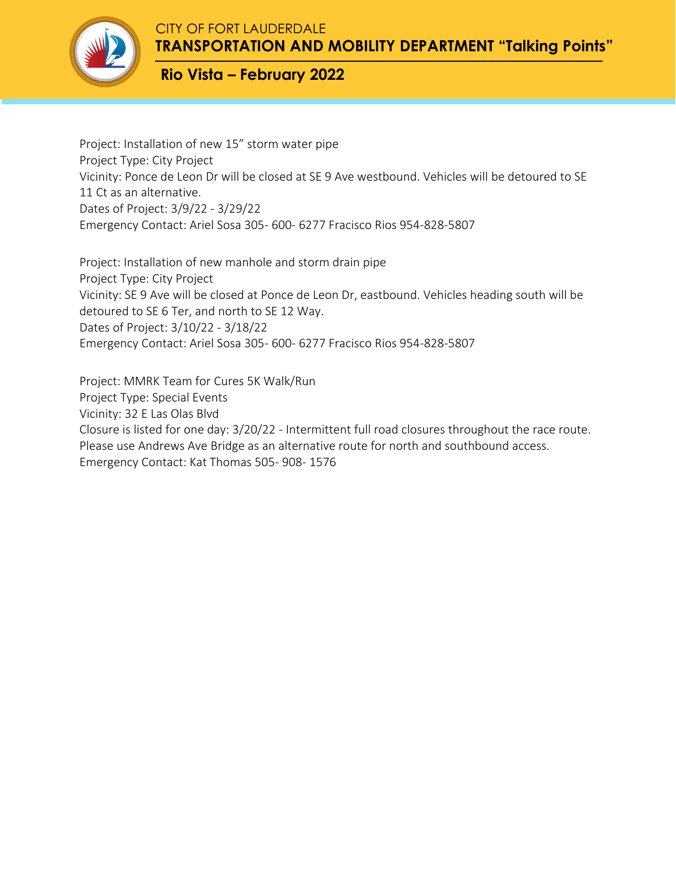

**TRANSPORTATION AND MOBILITY DEPARTMENT "Talking Points"**

# **Rio Vista – February 2022**

Project: Installation of new 15" storm water pipe Project Type: City Project Vicinity: Ponce de Leon Dr will be closed at SE 9 Ave westbound. Vehicles will be detoured to SE 11 Ct as an alternative. Dates of Project: 3/9/22 - 3/29/22 Emergency Contact: Ariel Sosa 305- 600- 6277 Fracisco Rios 954-828-5807

Project: Installation of new manhole and storm drain pipe Project Type: City Project Vicinity: SE 9 Ave will be closed at Ponce de Leon Dr, eastbound. Vehicles heading south will be detoured to SE 6 Ter, and north to SE 12 Way. Dates of Project: 3/10/22 - 3/18/22 Emergency Contact: Ariel Sosa 305- 600- 6277 Fracisco Rios 954-828-5807

Project: MMRK Team for Cures 5K Walk/Run Project Type: Special Events Vicinity: 32 E Las Olas Blvd Closure is listed for one day: 3/20/22 - Intermittent full road closures throughout the race route. Please use Andrews Ave Bridge as an alternative route for north and southbound access. Emergency Contact: Kat Thomas 505- 908- 1576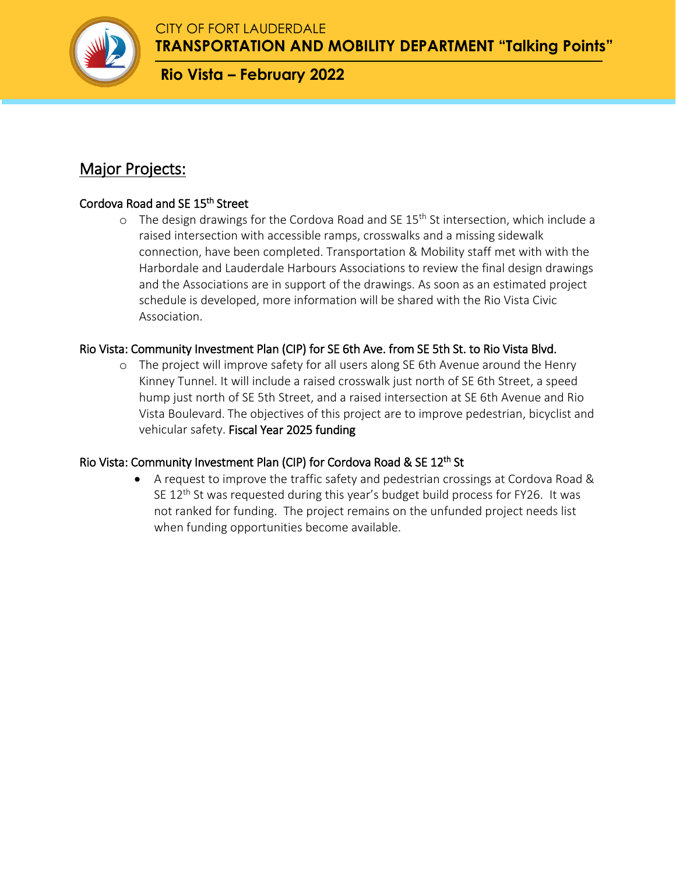

**TRANSPORTATION AND MOBILITY DEPARTMENT "Talking Points"**

# **Rio Vista – February 2022**

# Major Projects:

### Cordova Road and SE 15<sup>th</sup> Street

 $\circ$  The design drawings for the Cordova Road and SE 15<sup>th</sup> St intersection, which include a raised intersection with accessible ramps, crosswalks and a missing sidewalk connection, have been completed. Transportation & Mobility staff met with with the Harbordale and Lauderdale Harbours Associations to review the final design drawings and the Associations are in support of the drawings. As soon as an estimated project schedule is developed, more information will be shared with the Rio Vista Civic Association.

### Rio Vista: Community Investment Plan (CIP) for SE 6th Ave. from SE 5th St. to Rio Vista Blvd.

o The project will improve safety for all users along SE 6th Avenue around the Henry Kinney Tunnel. It will include a raised crosswalk just north of SE 6th Street, a speed hump just north of SE 5th Street, and a raised intersection at SE 6th Avenue and Rio Vista Boulevard. The objectives of this project are to improve pedestrian, bicyclist and vehicular safety. Fiscal Year 2025 funding

### Rio Vista: Community Investment Plan (CIP) for Cordova Road & SE 12<sup>th</sup> St

 A request to improve the traffic safety and pedestrian crossings at Cordova Road & SE  $12<sup>th</sup>$  St was requested during this year's budget build process for FY26. It was not ranked for funding. The project remains on the unfunded project needs list when funding opportunities become available.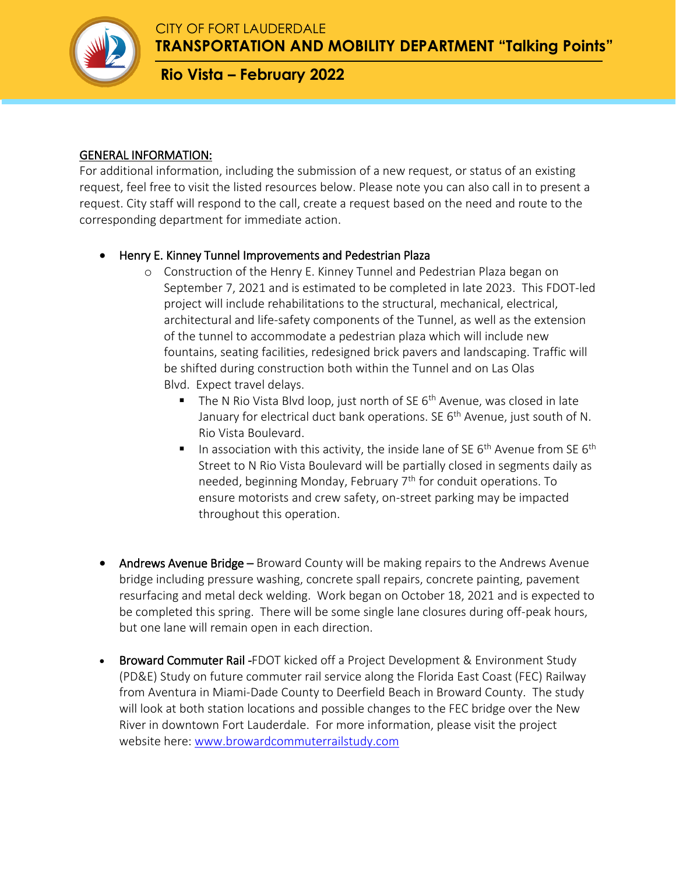

**TRANSPORTATION AND MOBILITY DEPARTMENT "Talking Points"**

# **Rio Vista – February 2022**

#### GENERAL INFORMATION:

For additional information, including the submission of a new request, or status of an existing request, feel free to visit the listed resources below. Please note you can also call in to present a request. City staff will respond to the call, create a request based on the need and route to the corresponding department for immediate action.

#### Henry E. Kinney Tunnel Improvements and Pedestrian Plaza

- o Construction of the Henry E. Kinney Tunnel and Pedestrian Plaza began on September 7, 2021 and is estimated to be completed in late 2023. This FDOT-led project will include rehabilitations to the structural, mechanical, electrical, architectural and life-safety components of the Tunnel, as well as the extension of the tunnel to accommodate a pedestrian plaza which will include new fountains, seating facilities, redesigned brick pavers and landscaping. Traffic will be shifted during construction both within the Tunnel and on Las Olas Blvd. Expect travel delays.
	- The N Rio Vista Blvd loop, just north of SE  $6<sup>th</sup>$  Avenue, was closed in late January for electrical duct bank operations. SE  $6<sup>th</sup>$  Avenue, just south of N. Rio Vista Boulevard.
	- In association with this activity, the inside lane of SE  $6<sup>th</sup>$  Avenue from SE  $6<sup>th</sup>$ Street to N Rio Vista Boulevard will be partially closed in segments daily as needed, beginning Monday, February 7<sup>th</sup> for conduit operations. To ensure motorists and crew safety, on-street parking may be impacted throughout this operation.
- Andrews Avenue Bridge Broward County will be making repairs to the Andrews Avenue bridge including pressure washing, concrete spall repairs, concrete painting, pavement resurfacing and metal deck welding. Work began on October 18, 2021 and is expected to be completed this spring. There will be some single lane closures during off-peak hours, but one lane will remain open in each direction.
- Broward Commuter Rail -FDOT kicked off a Project Development & Environment Study (PD&E) Study on future commuter rail service along the Florida East Coast (FEC) Railway from Aventura in Miami-Dade County to Deerfield Beach in Broward County. The study will look at both station locations and possible changes to the FEC bridge over the New River in downtown Fort Lauderdale. For more information, please visit the project website here: [www.browardcommuterrailstudy.com](http://www.browardcommuterrailstudy.com/)